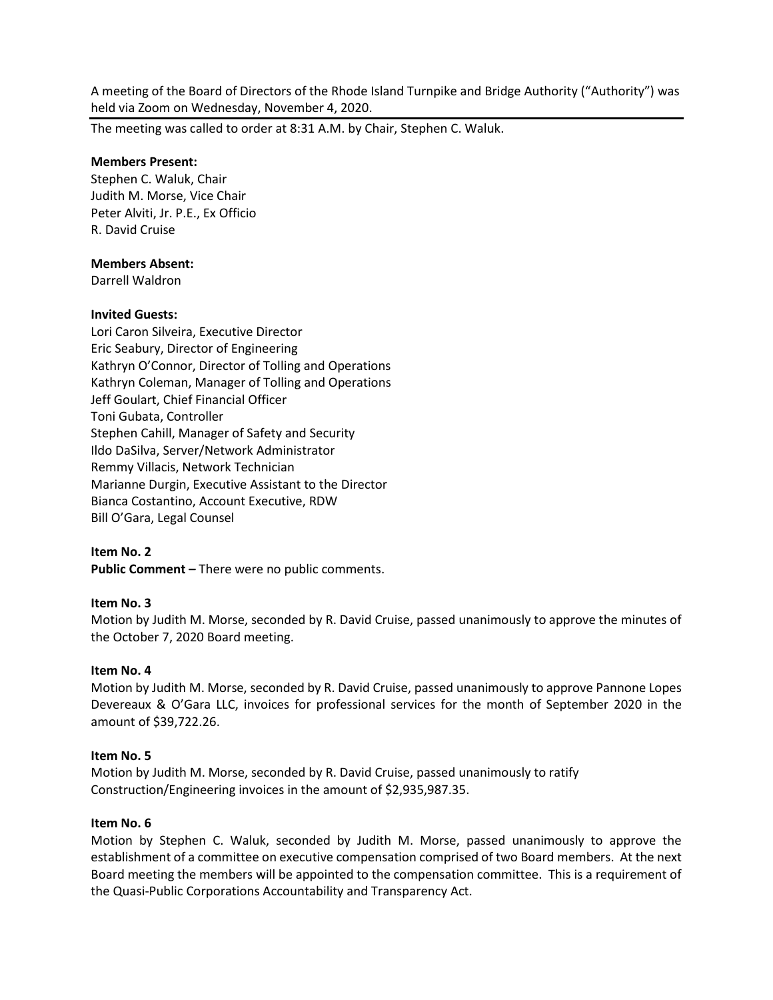A meeting of the Board of Directors of the Rhode Island Turnpike and Bridge Authority ("Authority") was held via Zoom on Wednesday, November 4, 2020.

The meeting was called to order at 8:31 A.M. by Chair, Stephen C. Waluk.

### **Members Present:**

Stephen C. Waluk, Chair Judith M. Morse, Vice Chair Peter Alviti, Jr. P.E., Ex Officio R. David Cruise

### **Members Absent:**

Darrell Waldron

### **Invited Guests:**

Lori Caron Silveira, Executive Director Eric Seabury, Director of Engineering Kathryn O'Connor, Director of Tolling and Operations Kathryn Coleman, Manager of Tolling and Operations Jeff Goulart, Chief Financial Officer Toni Gubata, Controller Stephen Cahill, Manager of Safety and Security Ildo DaSilva, Server/Network Administrator Remmy Villacis, Network Technician Marianne Durgin, Executive Assistant to the Director Bianca Costantino, Account Executive, RDW Bill O'Gara, Legal Counsel

## **Item No. 2**

**Public Comment –** There were no public comments.

## **Item No. 3**

Motion by Judith M. Morse, seconded by R. David Cruise, passed unanimously to approve the minutes of the October 7, 2020 Board meeting.

#### **Item No. 4**

Motion by Judith M. Morse, seconded by R. David Cruise, passed unanimously to approve Pannone Lopes Devereaux & O'Gara LLC, invoices for professional services for the month of September 2020 in the amount of \$39,722.26.

#### **Item No. 5**

Motion by Judith M. Morse, seconded by R. David Cruise, passed unanimously to ratify Construction/Engineering invoices in the amount of \$2,935,987.35.

#### **Item No. 6**

Motion by Stephen C. Waluk, seconded by Judith M. Morse, passed unanimously to approve the establishment of a committee on executive compensation comprised of two Board members. At the next Board meeting the members will be appointed to the compensation committee. This is a requirement of the Quasi-Public Corporations Accountability and Transparency Act.